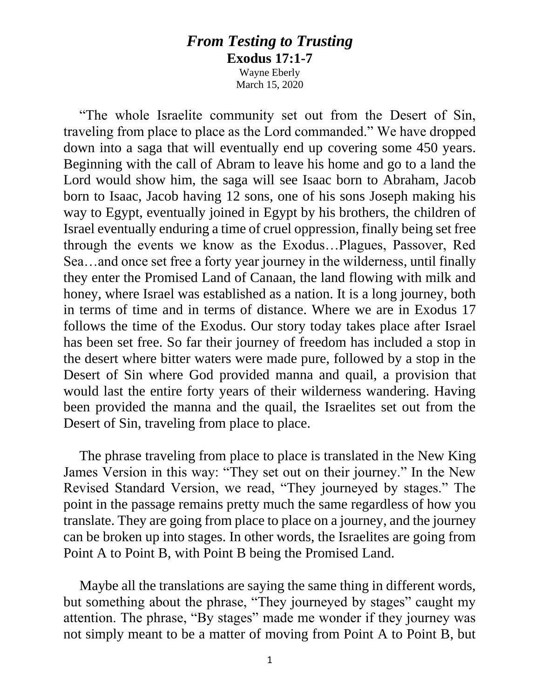## *From Testing to Trusting* **Exodus 17:1-7**

Wayne Eberly March 15, 2020

"The whole Israelite community set out from the Desert of Sin, traveling from place to place as the Lord commanded." We have dropped down into a saga that will eventually end up covering some 450 years. Beginning with the call of Abram to leave his home and go to a land the Lord would show him, the saga will see Isaac born to Abraham, Jacob born to Isaac, Jacob having 12 sons, one of his sons Joseph making his way to Egypt, eventually joined in Egypt by his brothers, the children of Israel eventually enduring a time of cruel oppression, finally being set free through the events we know as the Exodus…Plagues, Passover, Red Sea…and once set free a forty year journey in the wilderness, until finally they enter the Promised Land of Canaan, the land flowing with milk and honey, where Israel was established as a nation. It is a long journey, both in terms of time and in terms of distance. Where we are in Exodus 17 follows the time of the Exodus. Our story today takes place after Israel has been set free. So far their journey of freedom has included a stop in the desert where bitter waters were made pure, followed by a stop in the Desert of Sin where God provided manna and quail, a provision that would last the entire forty years of their wilderness wandering. Having been provided the manna and the quail, the Israelites set out from the Desert of Sin, traveling from place to place.

The phrase traveling from place to place is translated in the New King James Version in this way: "They set out on their journey." In the New Revised Standard Version, we read, "They journeyed by stages." The point in the passage remains pretty much the same regardless of how you translate. They are going from place to place on a journey, and the journey can be broken up into stages. In other words, the Israelites are going from Point A to Point B, with Point B being the Promised Land.

Maybe all the translations are saying the same thing in different words, but something about the phrase, "They journeyed by stages" caught my attention. The phrase, "By stages" made me wonder if they journey was not simply meant to be a matter of moving from Point A to Point B, but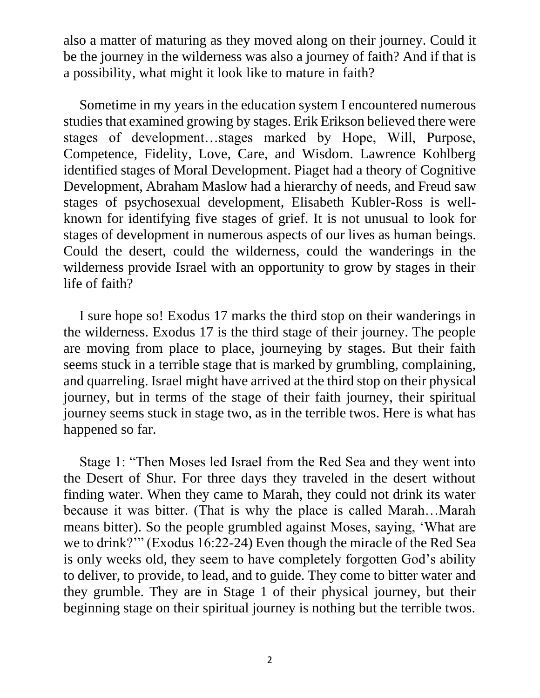also a matter of maturing as they moved along on their journey. Could it be the journey in the wilderness was also a journey of faith? And if that is a possibility, what might it look like to mature in faith?

Sometime in my years in the education system I encountered numerous studies that examined growing by stages. Erik Erikson believed there were stages of development…stages marked by Hope, Will, Purpose, Competence, Fidelity, Love, Care, and Wisdom. Lawrence Kohlberg identified stages of Moral Development. Piaget had a theory of Cognitive Development, Abraham Maslow had a hierarchy of needs, and Freud saw stages of psychosexual development, Elisabeth Kubler-Ross is wellknown for identifying five stages of grief. It is not unusual to look for stages of development in numerous aspects of our lives as human beings. Could the desert, could the wilderness, could the wanderings in the wilderness provide Israel with an opportunity to grow by stages in their life of faith?

I sure hope so! Exodus 17 marks the third stop on their wanderings in the wilderness. Exodus 17 is the third stage of their journey. The people are moving from place to place, journeying by stages. But their faith seems stuck in a terrible stage that is marked by grumbling, complaining, and quarreling. Israel might have arrived at the third stop on their physical journey, but in terms of the stage of their faith journey, their spiritual journey seems stuck in stage two, as in the terrible twos. Here is what has happened so far.

Stage 1: "Then Moses led Israel from the Red Sea and they went into the Desert of Shur. For three days they traveled in the desert without finding water. When they came to Marah, they could not drink its water because it was bitter. (That is why the place is called Marah…Marah means bitter). So the people grumbled against Moses, saying, 'What are we to drink?'" (Exodus 16:22-24) Even though the miracle of the Red Sea is only weeks old, they seem to have completely forgotten God's ability to deliver, to provide, to lead, and to guide. They come to bitter water and they grumble. They are in Stage 1 of their physical journey, but their beginning stage on their spiritual journey is nothing but the terrible twos.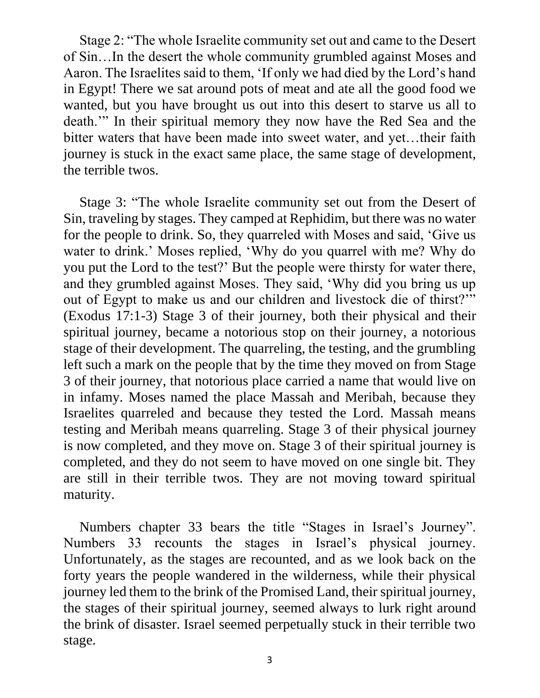Stage 2: "The whole Israelite community set out and came to the Desert of Sin…In the desert the whole community grumbled against Moses and Aaron. The Israelites said to them, 'If only we had died by the Lord's hand in Egypt! There we sat around pots of meat and ate all the good food we wanted, but you have brought us out into this desert to starve us all to death.'" In their spiritual memory they now have the Red Sea and the bitter waters that have been made into sweet water, and yet…their faith journey is stuck in the exact same place, the same stage of development, the terrible twos.

Stage 3: "The whole Israelite community set out from the Desert of Sin, traveling by stages. They camped at Rephidim, but there was no water for the people to drink. So, they quarreled with Moses and said, 'Give us water to drink.' Moses replied, 'Why do you quarrel with me? Why do you put the Lord to the test?' But the people were thirsty for water there, and they grumbled against Moses. They said, 'Why did you bring us up out of Egypt to make us and our children and livestock die of thirst?'" (Exodus 17:1-3) Stage 3 of their journey, both their physical and their spiritual journey, became a notorious stop on their journey, a notorious stage of their development. The quarreling, the testing, and the grumbling left such a mark on the people that by the time they moved on from Stage 3 of their journey, that notorious place carried a name that would live on in infamy. Moses named the place Massah and Meribah, because they Israelites quarreled and because they tested the Lord. Massah means testing and Meribah means quarreling. Stage 3 of their physical journey is now completed, and they move on. Stage 3 of their spiritual journey is completed, and they do not seem to have moved on one single bit. They are still in their terrible twos. They are not moving toward spiritual maturity.

Numbers chapter 33 bears the title "Stages in Israel's Journey". Numbers 33 recounts the stages in Israel's physical journey. Unfortunately, as the stages are recounted, and as we look back on the forty years the people wandered in the wilderness, while their physical journey led them to the brink of the Promised Land, their spiritual journey, the stages of their spiritual journey, seemed always to lurk right around the brink of disaster. Israel seemed perpetually stuck in their terrible two stage.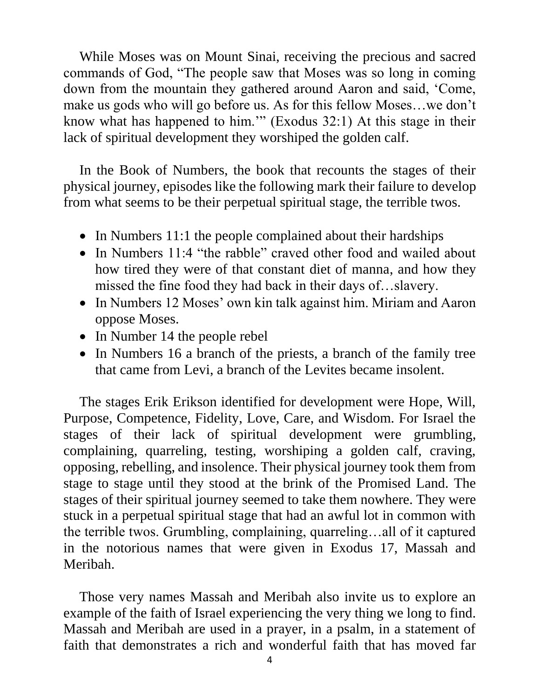While Moses was on Mount Sinai, receiving the precious and sacred commands of God, "The people saw that Moses was so long in coming down from the mountain they gathered around Aaron and said, 'Come, make us gods who will go before us. As for this fellow Moses…we don't know what has happened to him.'" (Exodus 32:1) At this stage in their lack of spiritual development they worshiped the golden calf.

In the Book of Numbers, the book that recounts the stages of their physical journey, episodes like the following mark their failure to develop from what seems to be their perpetual spiritual stage, the terrible twos.

- In Numbers 11:1 the people complained about their hardships
- In Numbers 11:4 "the rabble" craved other food and wailed about how tired they were of that constant diet of manna, and how they missed the fine food they had back in their days of…slavery.
- In Numbers 12 Moses' own kin talk against him. Miriam and Aaron oppose Moses.
- In Number 14 the people rebel
- In Numbers 16 a branch of the priests, a branch of the family tree that came from Levi, a branch of the Levites became insolent.

The stages Erik Erikson identified for development were Hope, Will, Purpose, Competence, Fidelity, Love, Care, and Wisdom. For Israel the stages of their lack of spiritual development were grumbling, complaining, quarreling, testing, worshiping a golden calf, craving, opposing, rebelling, and insolence. Their physical journey took them from stage to stage until they stood at the brink of the Promised Land. The stages of their spiritual journey seemed to take them nowhere. They were stuck in a perpetual spiritual stage that had an awful lot in common with the terrible twos. Grumbling, complaining, quarreling…all of it captured in the notorious names that were given in Exodus 17, Massah and Meribah.

Those very names Massah and Meribah also invite us to explore an example of the faith of Israel experiencing the very thing we long to find. Massah and Meribah are used in a prayer, in a psalm, in a statement of faith that demonstrates a rich and wonderful faith that has moved far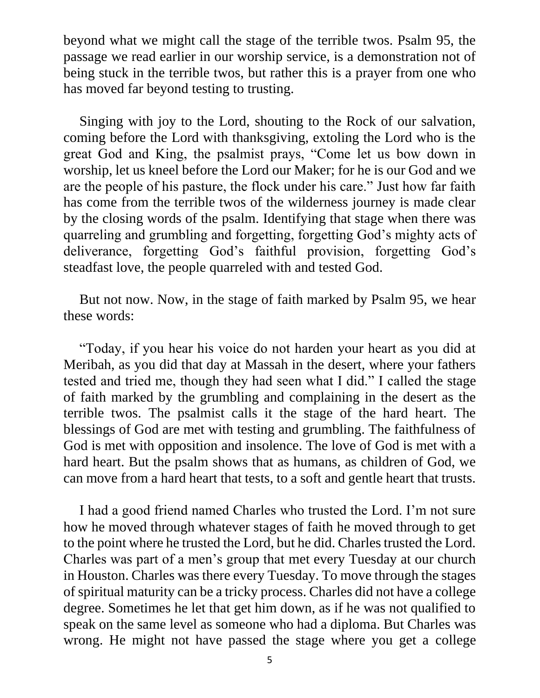beyond what we might call the stage of the terrible twos. Psalm 95, the passage we read earlier in our worship service, is a demonstration not of being stuck in the terrible twos, but rather this is a prayer from one who has moved far beyond testing to trusting.

Singing with joy to the Lord, shouting to the Rock of our salvation, coming before the Lord with thanksgiving, extoling the Lord who is the great God and King, the psalmist prays, "Come let us bow down in worship, let us kneel before the Lord our Maker; for he is our God and we are the people of his pasture, the flock under his care." Just how far faith has come from the terrible twos of the wilderness journey is made clear by the closing words of the psalm. Identifying that stage when there was quarreling and grumbling and forgetting, forgetting God's mighty acts of deliverance, forgetting God's faithful provision, forgetting God's steadfast love, the people quarreled with and tested God.

But not now. Now, in the stage of faith marked by Psalm 95, we hear these words:

"Today, if you hear his voice do not harden your heart as you did at Meribah, as you did that day at Massah in the desert, where your fathers tested and tried me, though they had seen what I did." I called the stage of faith marked by the grumbling and complaining in the desert as the terrible twos. The psalmist calls it the stage of the hard heart. The blessings of God are met with testing and grumbling. The faithfulness of God is met with opposition and insolence. The love of God is met with a hard heart. But the psalm shows that as humans, as children of God, we can move from a hard heart that tests, to a soft and gentle heart that trusts.

I had a good friend named Charles who trusted the Lord. I'm not sure how he moved through whatever stages of faith he moved through to get to the point where he trusted the Lord, but he did. Charles trusted the Lord. Charles was part of a men's group that met every Tuesday at our church in Houston. Charles was there every Tuesday. To move through the stages of spiritual maturity can be a tricky process. Charles did not have a college degree. Sometimes he let that get him down, as if he was not qualified to speak on the same level as someone who had a diploma. But Charles was wrong. He might not have passed the stage where you get a college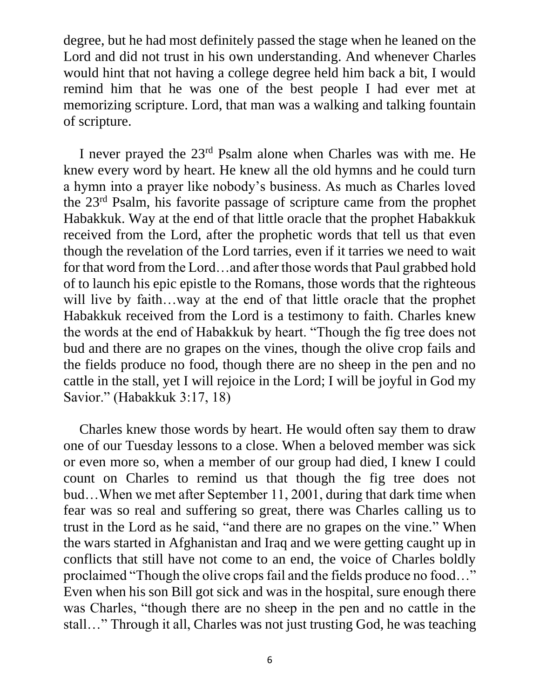degree, but he had most definitely passed the stage when he leaned on the Lord and did not trust in his own understanding. And whenever Charles would hint that not having a college degree held him back a bit, I would remind him that he was one of the best people I had ever met at memorizing scripture. Lord, that man was a walking and talking fountain of scripture.

I never prayed the 23rd Psalm alone when Charles was with me. He knew every word by heart. He knew all the old hymns and he could turn a hymn into a prayer like nobody's business. As much as Charles loved the 23rd Psalm, his favorite passage of scripture came from the prophet Habakkuk. Way at the end of that little oracle that the prophet Habakkuk received from the Lord, after the prophetic words that tell us that even though the revelation of the Lord tarries, even if it tarries we need to wait for that word from the Lord…and after those words that Paul grabbed hold of to launch his epic epistle to the Romans, those words that the righteous will live by faith…way at the end of that little oracle that the prophet Habakkuk received from the Lord is a testimony to faith. Charles knew the words at the end of Habakkuk by heart. "Though the fig tree does not bud and there are no grapes on the vines, though the olive crop fails and the fields produce no food, though there are no sheep in the pen and no cattle in the stall, yet I will rejoice in the Lord; I will be joyful in God my Savior." (Habakkuk 3:17, 18)

Charles knew those words by heart. He would often say them to draw one of our Tuesday lessons to a close. When a beloved member was sick or even more so, when a member of our group had died, I knew I could count on Charles to remind us that though the fig tree does not bud…When we met after September 11, 2001, during that dark time when fear was so real and suffering so great, there was Charles calling us to trust in the Lord as he said, "and there are no grapes on the vine." When the wars started in Afghanistan and Iraq and we were getting caught up in conflicts that still have not come to an end, the voice of Charles boldly proclaimed "Though the olive crops fail and the fields produce no food…" Even when his son Bill got sick and was in the hospital, sure enough there was Charles, "though there are no sheep in the pen and no cattle in the stall…" Through it all, Charles was not just trusting God, he was teaching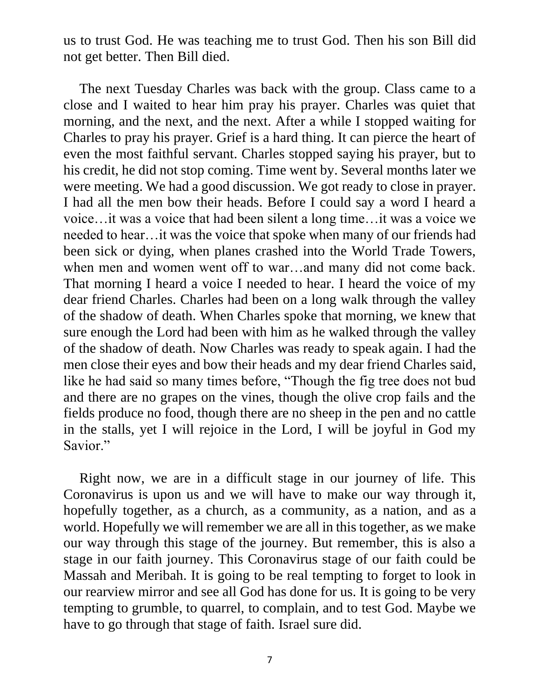us to trust God. He was teaching me to trust God. Then his son Bill did not get better. Then Bill died.

The next Tuesday Charles was back with the group. Class came to a close and I waited to hear him pray his prayer. Charles was quiet that morning, and the next, and the next. After a while I stopped waiting for Charles to pray his prayer. Grief is a hard thing. It can pierce the heart of even the most faithful servant. Charles stopped saying his prayer, but to his credit, he did not stop coming. Time went by. Several months later we were meeting. We had a good discussion. We got ready to close in prayer. I had all the men bow their heads. Before I could say a word I heard a voice…it was a voice that had been silent a long time…it was a voice we needed to hear…it was the voice that spoke when many of our friends had been sick or dying, when planes crashed into the World Trade Towers, when men and women went off to war…and many did not come back. That morning I heard a voice I needed to hear. I heard the voice of my dear friend Charles. Charles had been on a long walk through the valley of the shadow of death. When Charles spoke that morning, we knew that sure enough the Lord had been with him as he walked through the valley of the shadow of death. Now Charles was ready to speak again. I had the men close their eyes and bow their heads and my dear friend Charles said, like he had said so many times before, "Though the fig tree does not bud and there are no grapes on the vines, though the olive crop fails and the fields produce no food, though there are no sheep in the pen and no cattle in the stalls, yet I will rejoice in the Lord, I will be joyful in God my Savior."

Right now, we are in a difficult stage in our journey of life. This Coronavirus is upon us and we will have to make our way through it, hopefully together, as a church, as a community, as a nation, and as a world. Hopefully we will remember we are all in this together, as we make our way through this stage of the journey. But remember, this is also a stage in our faith journey. This Coronavirus stage of our faith could be Massah and Meribah. It is going to be real tempting to forget to look in our rearview mirror and see all God has done for us. It is going to be very tempting to grumble, to quarrel, to complain, and to test God. Maybe we have to go through that stage of faith. Israel sure did.